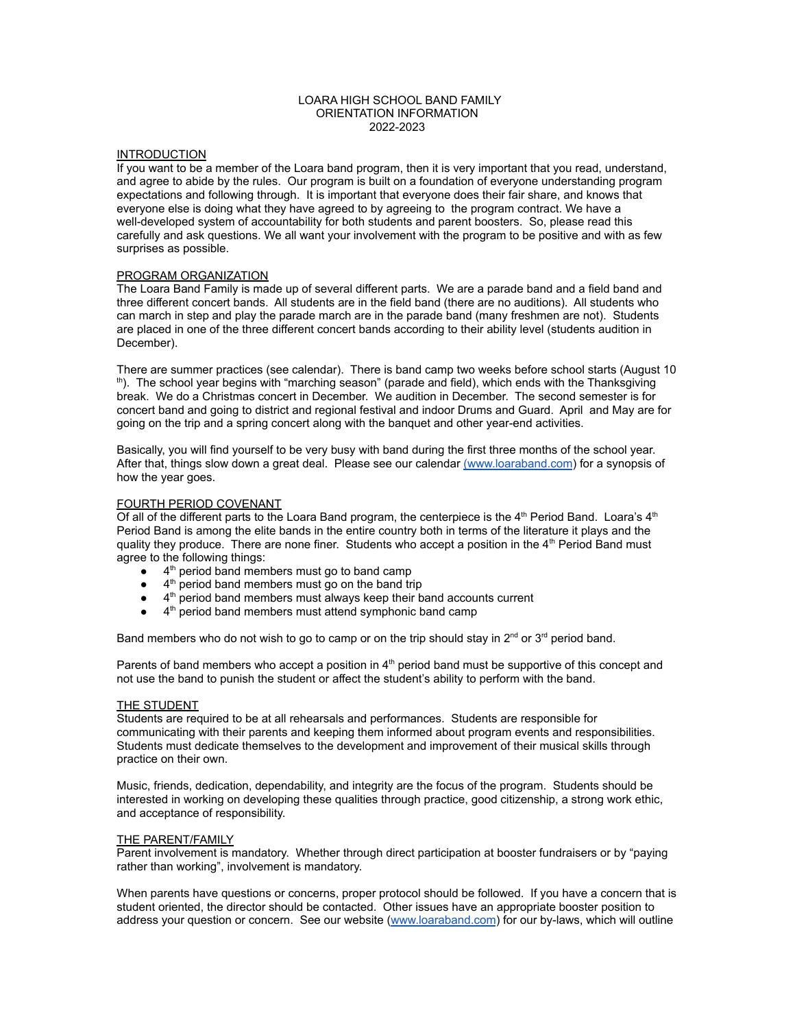## LOARA HIGH SCHOOL BAND FAMILY ORIENTATION INFORMATION 2022-2023

### **INTRODUCTION**

If you want to be a member of the Loara band program, then it is very important that you read, understand, and agree to abide by the rules. Our program is built on a foundation of everyone understanding program expectations and following through. It is important that everyone does their fair share, and knows that everyone else is doing what they have agreed to by agreeing to the program contract. We have a well-developed system of accountability for both students and parent boosters. So, please read this carefully and ask questions. We all want your involvement with the program to be positive and with as few surprises as possible.

## PROGRAM ORGANIZATION

The Loara Band Family is made up of several different parts. We are a parade band and a field band and three different concert bands. All students are in the field band (there are no auditions). All students who can march in step and play the parade march are in the parade band (many freshmen are not). Students are placed in one of the three different concert bands according to their ability level (students audition in December).

There are summer practices (see calendar). There is band camp two weeks before school starts (August 10 <sup>th</sup>). The school year begins with "marching season" (parade and field), which ends with the Thanksgiving break. We do a Christmas concert in December. We audition in December. The second semester is for concert band and going to district and regional festival and indoor Drums and Guard. April and May are for going on the trip and a spring concert along with the banquet and other year-end activities.

Basically, you will find yourself to be very busy with band during the first three months of the school year. After that, things slow down a great deal. Please see our calendar [\(www.loaraband.com](http://www.loaraband.com)) for a synopsis of how the year goes.

## FOURTH PERIOD COVENANT

Of all of the different parts to the Loara Band program, the centerpiece is the 4<sup>th</sup> Period Band. Loara's 4<sup>th</sup> Period Band is among the elite bands in the entire country both in terms of the literature it plays and the quality they produce. There are none finer. Students who accept a position in the  $4<sup>th</sup>$  Period Band must agree to the following things:

- 4<sup>th</sup> period band members must go to band camp
- 4<sup>th</sup> period band members must go on the band trip
- $\bullet$  4<sup>th</sup> period band members must always keep their band accounts current
- 4<sup>th</sup> period band members must attend symphonic band camp

Band members who do not wish to go to camp or on the trip should stay in  $2^{nd}$  or  $3^{rd}$  period band.

Parents of band members who accept a position in 4<sup>th</sup> period band must be supportive of this concept and not use the band to punish the student or affect the student's ability to perform with the band.

### THE STUDENT

Students are required to be at all rehearsals and performances. Students are responsible for communicating with their parents and keeping them informed about program events and responsibilities. Students must dedicate themselves to the development and improvement of their musical skills through practice on their own.

Music, friends, dedication, dependability, and integrity are the focus of the program. Students should be interested in working on developing these qualities through practice, good citizenship, a strong work ethic, and acceptance of responsibility.

### THE PARENT/FAMILY

Parent involvement is mandatory. Whether through direct participation at booster fundraisers or by "paying rather than working", involvement is mandatory.

When parents have questions or concerns, proper protocol should be followed. If you have a concern that is student oriented, the director should be contacted. Other issues have an appropriate booster position to address your question or concern. See our website ([www.loaraband.com](http://www.loaraband.com)) for our by-laws, which will outline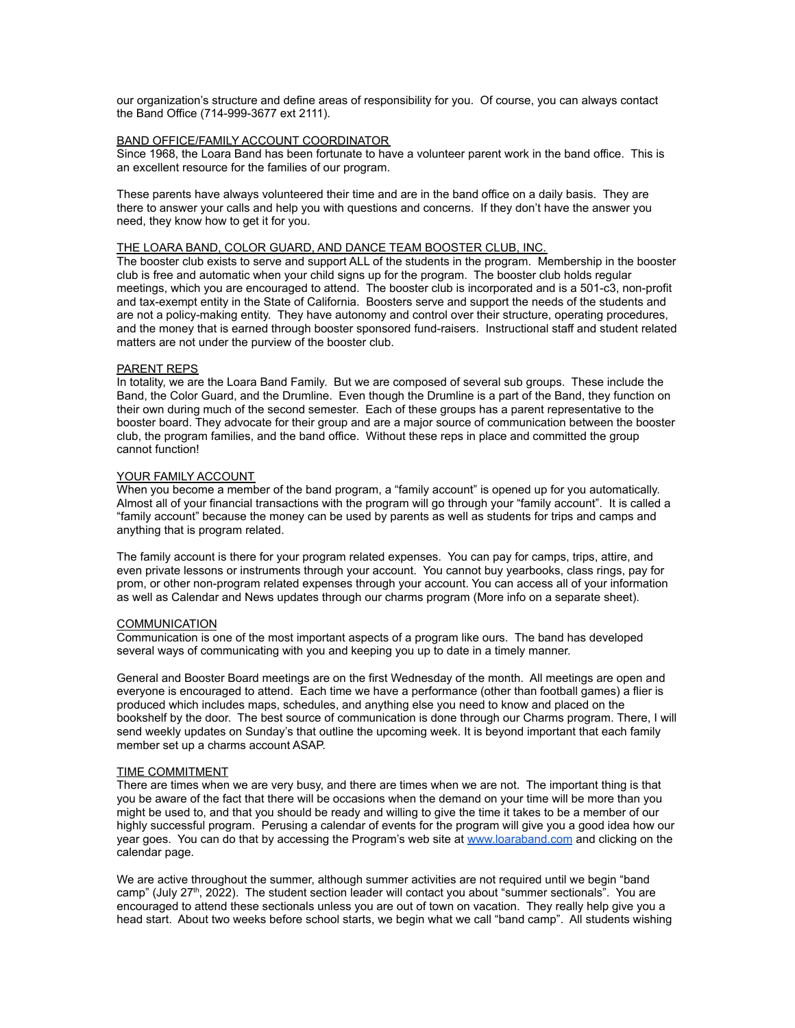our organization's structure and define areas of responsibility for you. Of course, you can always contact the Band Office (714-999-3677 ext 2111).

### BAND OFFICE/FAMILY ACCOUNT COORDINATOR

Since 1968, the Loara Band has been fortunate to have a volunteer parent work in the band office. This is an excellent resource for the families of our program.

These parents have always volunteered their time and are in the band office on a daily basis. They are there to answer your calls and help you with questions and concerns. If they don't have the answer you need, they know how to get it for you.

# THE LOARA BAND, COLOR GUARD, AND DANCE TEAM BOOSTER CLUB, INC.

The booster club exists to serve and support ALL of the students in the program. Membership in the booster club is free and automatic when your child signs up for the program. The booster club holds regular meetings, which you are encouraged to attend. The booster club is incorporated and is a 501-c3, non-profit and tax-exempt entity in the State of California. Boosters serve and support the needs of the students and are not a policy-making entity. They have autonomy and control over their structure, operating procedures, and the money that is earned through booster sponsored fund-raisers. Instructional staff and student related matters are not under the purview of the booster club.

### PARENT REPS

In totality, we are the Loara Band Family. But we are composed of several sub groups. These include the Band, the Color Guard, and the Drumline. Even though the Drumline is a part of the Band, they function on their own during much of the second semester. Each of these groups has a parent representative to the booster board. They advocate for their group and are a major source of communication between the booster club, the program families, and the band office. Without these reps in place and committed the group cannot function!

## YOUR FAMILY ACCOUNT

When you become a member of the band program, a "family account" is opened up for you automatically. Almost all of your financial transactions with the program will go through your "family account". It is called a "family account" because the money can be used by parents as well as students for trips and camps and anything that is program related.

The family account is there for your program related expenses. You can pay for camps, trips, attire, and even private lessons or instruments through your account. You cannot buy yearbooks, class rings, pay for prom, or other non-program related expenses through your account. You can access all of your information as well as Calendar and News updates through our charms program (More info on a separate sheet).

### COMMUNICATION

Communication is one of the most important aspects of a program like ours. The band has developed several ways of communicating with you and keeping you up to date in a timely manner.

General and Booster Board meetings are on the first Wednesday of the month. All meetings are open and everyone is encouraged to attend. Each time we have a performance (other than football games) a flier is produced which includes maps, schedules, and anything else you need to know and placed on the bookshelf by the door. The best source of communication is done through our Charms program. There, I will send weekly updates on Sunday's that outline the upcoming week. It is beyond important that each family member set up a charms account ASAP.

### TIME COMMITMENT

There are times when we are very busy, and there are times when we are not. The important thing is that you be aware of the fact that there will be occasions when the demand on your time will be more than you might be used to, and that you should be ready and willing to give the time it takes to be a member of our highly successful program. Perusing a calendar of events for the program will give you a good idea how our year goes. You can do that by accessing the Program's web site at [www.loaraband.com](http://www.loaraband.com) and clicking on the calendar page.

We are active throughout the summer, although summer activities are not required until we begin "band camp" (July 27<sup>th</sup>, 2022). The student section leader will contact you about "summer sectionals". You are encouraged to attend these sectionals unless you are out of town on vacation. They really help give you a head start. About two weeks before school starts, we begin what we call "band camp". All students wishing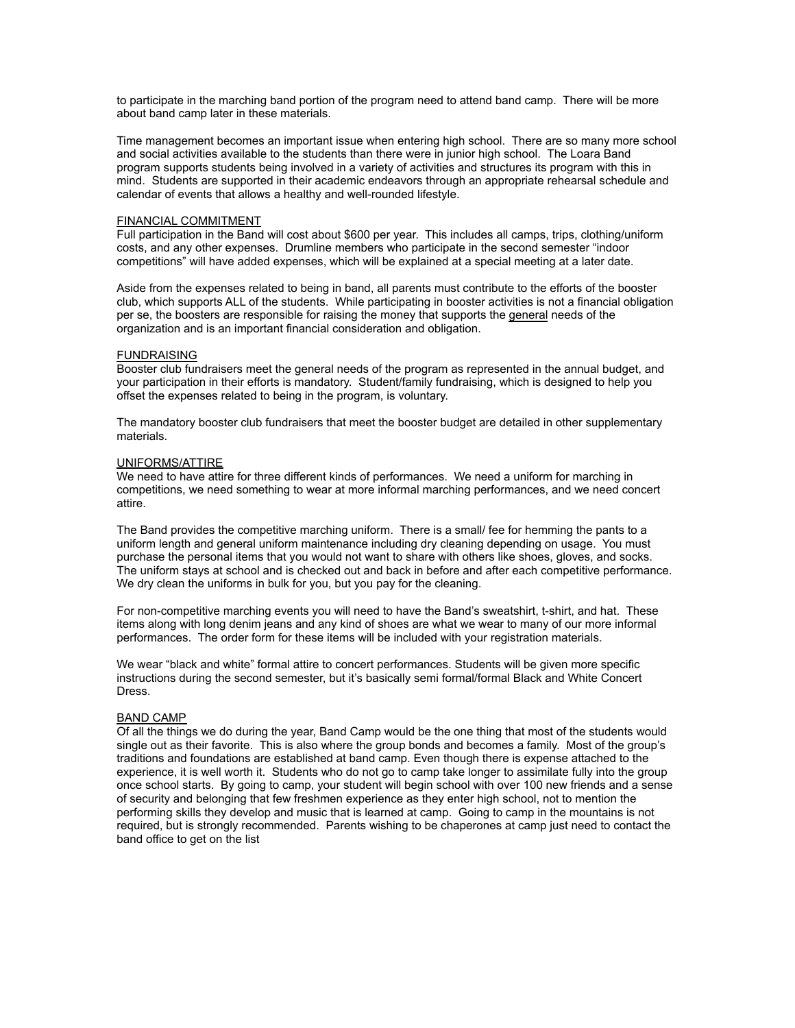to participate in the marching band portion of the program need to attend band camp. There will be more about band camp later in these materials.

Time management becomes an important issue when entering high school. There are so many more school and social activities available to the students than there were in junior high school. The Loara Band program supports students being involved in a variety of activities and structures its program with this in mind. Students are supported in their academic endeavors through an appropriate rehearsal schedule and calendar of events that allows a healthy and well-rounded lifestyle.

## FINANCIAL COMMITMENT

Full participation in the Band will cost about \$600 per year. This includes all camps, trips, clothing/uniform costs, and any other expenses. Drumline members who participate in the second semester "indoor competitions" will have added expenses, which will be explained at a special meeting at a later date.

Aside from the expenses related to being in band, all parents must contribute to the efforts of the booster club, which supports ALL of the students. While participating in booster activities is not a financial obligation per se, the boosters are responsible for raising the money that supports the general needs of the organization and is an important financial consideration and obligation.

#### FUNDRAISING

Booster club fundraisers meet the general needs of the program as represented in the annual budget, and your participation in their efforts is mandatory. Student/family fundraising, which is designed to help you offset the expenses related to being in the program, is voluntary.

The mandatory booster club fundraisers that meet the booster budget are detailed in other supplementary materials.

### UNIFORMS/ATTIRE

We need to have attire for three different kinds of performances. We need a uniform for marching in competitions, we need something to wear at more informal marching performances, and we need concert attire.

The Band provides the competitive marching uniform. There is a small/ fee for hemming the pants to a uniform length and general uniform maintenance including dry cleaning depending on usage. You must purchase the personal items that you would not want to share with others like shoes, gloves, and socks. The uniform stays at school and is checked out and back in before and after each competitive performance. We dry clean the uniforms in bulk for you, but you pay for the cleaning.

For non-competitive marching events you will need to have the Band's sweatshirt, t-shirt, and hat. These items along with long denim jeans and any kind of shoes are what we wear to many of our more informal performances. The order form for these items will be included with your registration materials.

We wear "black and white" formal attire to concert performances. Students will be given more specific instructions during the second semester, but it's basically semi formal/formal Black and White Concert Dress.

### BAND CAMP

Of all the things we do during the year, Band Camp would be the one thing that most of the students would single out as their favorite. This is also where the group bonds and becomes a family. Most of the group's traditions and foundations are established at band camp. Even though there is expense attached to the experience, it is well worth it. Students who do not go to camp take longer to assimilate fully into the group once school starts. By going to camp, your student will begin school with over 100 new friends and a sense of security and belonging that few freshmen experience as they enter high school, not to mention the performing skills they develop and music that is learned at camp. Going to camp in the mountains is not required, but is strongly recommended. Parents wishing to be chaperones at camp just need to contact the band office to get on the list